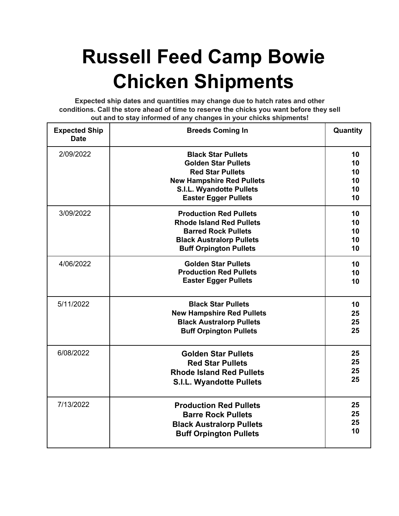## **Russell Feed Camp Bowie Chicken Shipments**

**Expected ship dates and quantities may change due to hatch rates and other conditions. Call the store ahead of time to reserve the chicks you want before they sell out and to stay informed of any changes in your chicks shipments!**

| <b>Expected Ship</b><br><b>Date</b> | <b>Breeds Coming In</b>                                                                                                                                                                  | Quantity                         |
|-------------------------------------|------------------------------------------------------------------------------------------------------------------------------------------------------------------------------------------|----------------------------------|
| 2/09/2022                           | <b>Black Star Pullets</b><br><b>Golden Star Pullets</b><br><b>Red Star Pullets</b><br><b>New Hampshire Red Pullets</b><br><b>S.I.L. Wyandotte Pullets</b><br><b>Easter Egger Pullets</b> | 10<br>10<br>10<br>10<br>10<br>10 |
| 3/09/2022                           | <b>Production Red Pullets</b><br><b>Rhode Island Red Pullets</b><br><b>Barred Rock Pullets</b><br><b>Black Australorp Pullets</b><br><b>Buff Orpington Pullets</b>                       | 10<br>10<br>10<br>10<br>10       |
| 4/06/2022                           | <b>Golden Star Pullets</b><br><b>Production Red Pullets</b><br><b>Easter Egger Pullets</b>                                                                                               | 10<br>10<br>10                   |
| 5/11/2022                           | <b>Black Star Pullets</b><br><b>New Hampshire Red Pullets</b><br><b>Black Australorp Pullets</b><br><b>Buff Orpington Pullets</b>                                                        | 10<br>25<br>25<br>25             |
| 6/08/2022                           | <b>Golden Star Pullets</b><br><b>Red Star Pullets</b><br><b>Rhode Island Red Pullets</b><br><b>S.I.L. Wyandotte Pullets</b>                                                              | 25<br>25<br>25<br>25             |
| 7/13/2022                           | <b>Production Red Pullets</b><br><b>Barre Rock Pullets</b><br><b>Black Australorp Pullets</b><br><b>Buff Orpington Pullets</b>                                                           | 25<br>25<br>25<br>10             |